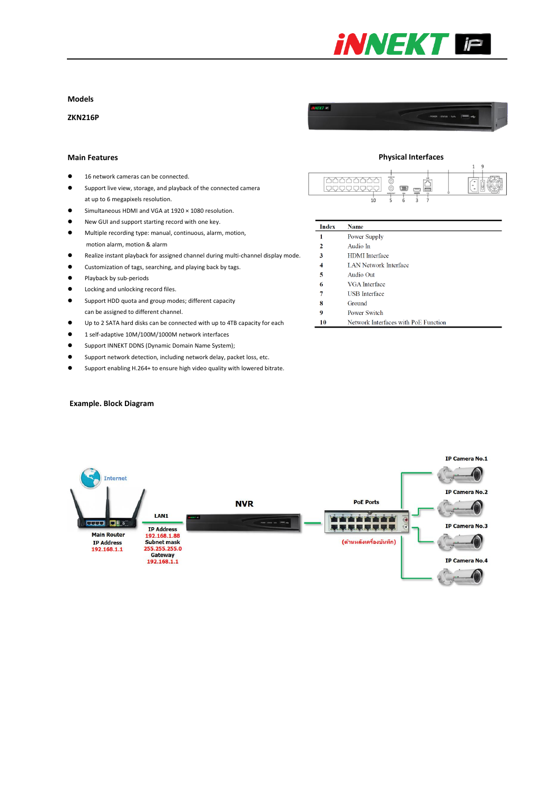

## **Models**

**ZKN216P**

#### **Main Features**

- 16 network cameras can be connected.
- Support live view, storage, and playback of the connected camera at up to 6 megapixels resolution.
- Simultaneous HDMI and VGA at 1920 × 1080 resolution.
- New GUI and support starting record with one key.
- Multiple recording type: manual, continuous, alarm, motion, motion alarm, motion & alarm
- Realize instant playback for assigned channel during multi-channel display mode.
- Customization of tags, searching, and playing back by tags.
- **•** Playback by sub-periods
- $\bullet$  Locking and unlocking record files.
- Support HDD quota and group modes; different capacity can be assigned to different channel.
- Up to 2 SATA hard disks can be connected with up to 4TB capacity for each
- 1 self-adaptive 10M/100M/1000M network interfaces
- **•** Support INNEKT DDNS (Dynamic Domain Name System);
- Support network detection, including network delay, packet loss, etc.
- Support enabling H.264+ to ensure high video quality with lowered bitrate.

## **Example. Block Diagram**



#### **Index** Name  $\mathbf 1$ Power Supply Audio In  $\overline{2}$  $\overline{\mathbf{3}}$ HDMI Interface  $\overline{4}$ **LAN Network Interface**  $\overline{\mathbf{5}}$ Audio Out  $\boldsymbol{6}$ VGA Interface **USB** Interface  $\overline{7}$  $\bf{8}$ Ground  $\overline{9}$ Power Switch Network Interfaces with PoE Function  ${\bf 10}$